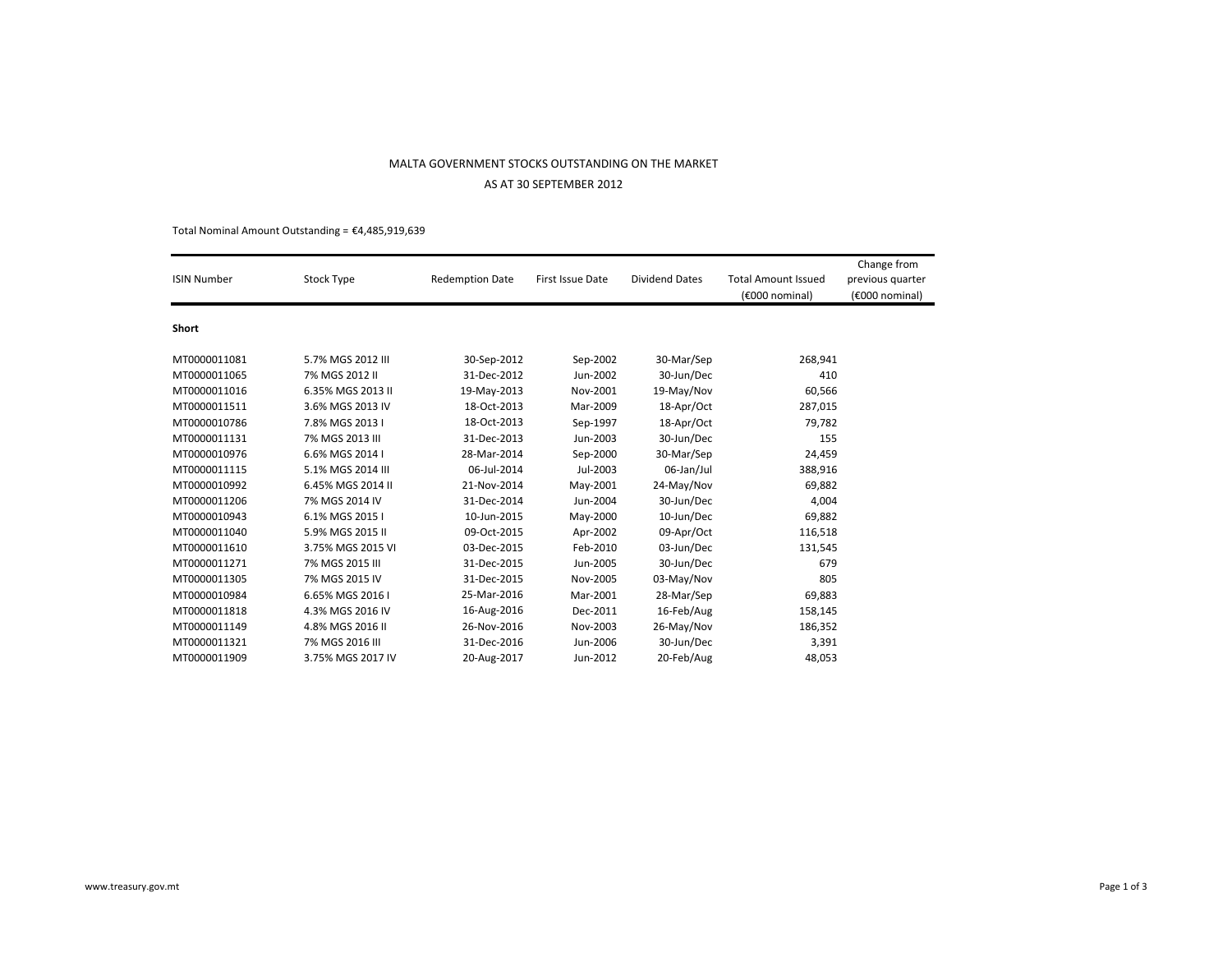# MALTA GOVERNMENT STOCKS OUTSTANDING ON THE MARKETAS AT 30 SEPTEMBER 2012

Total Nominal Amount Outstanding =  $£4,485,919,639$ 

| <b>ISIN Number</b> | Stock Type        | <b>Redemption Date</b> | First Issue Date | <b>Dividend Dates</b> | <b>Total Amount Issued</b><br>(€000 nominal) | Change from<br>previous quarter<br>(€000 nominal) |
|--------------------|-------------------|------------------------|------------------|-----------------------|----------------------------------------------|---------------------------------------------------|
| Short              |                   |                        |                  |                       |                                              |                                                   |
| MT0000011081       | 5.7% MGS 2012 III | 30-Sep-2012            | Sep-2002         | 30-Mar/Sep            | 268,941                                      |                                                   |
| MT0000011065       | 7% MGS 2012 II    | 31-Dec-2012            | Jun-2002         | 30-Jun/Dec            | 410                                          |                                                   |
| MT0000011016       | 6.35% MGS 2013 II | 19-May-2013            | Nov-2001         | 19-May/Nov            | 60,566                                       |                                                   |
| MT0000011511       | 3.6% MGS 2013 IV  | 18-Oct-2013            | Mar-2009         | 18-Apr/Oct            | 287,015                                      |                                                   |
| MT0000010786       | 7.8% MGS 2013 I   | 18-Oct-2013            | Sep-1997         | 18-Apr/Oct            | 79,782                                       |                                                   |
| MT0000011131       | 7% MGS 2013 III   | 31-Dec-2013            | Jun-2003         | 30-Jun/Dec            | 155                                          |                                                   |
| MT0000010976       | 6.6% MGS 2014 I   | 28-Mar-2014            | Sep-2000         | 30-Mar/Sep            | 24,459                                       |                                                   |
| MT0000011115       | 5.1% MGS 2014 III | 06-Jul-2014            | Jul-2003         | 06-Jan/Jul            | 388,916                                      |                                                   |
| MT0000010992       | 6.45% MGS 2014 II | 21-Nov-2014            | May-2001         | 24-May/Nov            | 69,882                                       |                                                   |
| MT0000011206       | 7% MGS 2014 IV    | 31-Dec-2014            | Jun-2004         | 30-Jun/Dec            | 4,004                                        |                                                   |
| MT0000010943       | 6.1% MGS 2015 I   | 10-Jun-2015            | May-2000         | 10-Jun/Dec            | 69,882                                       |                                                   |
| MT0000011040       | 5.9% MGS 2015 II  | 09-Oct-2015            | Apr-2002         | 09-Apr/Oct            | 116,518                                      |                                                   |
| MT0000011610       | 3.75% MGS 2015 VI | 03-Dec-2015            | Feb-2010         | 03-Jun/Dec            | 131,545                                      |                                                   |
| MT0000011271       | 7% MGS 2015 III   | 31-Dec-2015            | Jun-2005         | 30-Jun/Dec            | 679                                          |                                                   |
| MT0000011305       | 7% MGS 2015 IV    | 31-Dec-2015            | Nov-2005         | 03-May/Nov            | 805                                          |                                                   |
| MT0000010984       | 6.65% MGS 2016 I  | 25-Mar-2016            | Mar-2001         | 28-Mar/Sep            | 69,883                                       |                                                   |
| MT0000011818       | 4.3% MGS 2016 IV  | 16-Aug-2016            | Dec-2011         | 16-Feb/Aug            | 158,145                                      |                                                   |
| MT0000011149       | 4.8% MGS 2016 II  | 26-Nov-2016            | Nov-2003         | 26-May/Nov            | 186,352                                      |                                                   |
| MT0000011321       | 7% MGS 2016 III   | 31-Dec-2016            | Jun-2006         | 30-Jun/Dec            | 3,391                                        |                                                   |
| MT0000011909       | 3.75% MGS 2017 IV | 20-Aug-2017            | Jun-2012         | 20-Feb/Aug            | 48,053                                       |                                                   |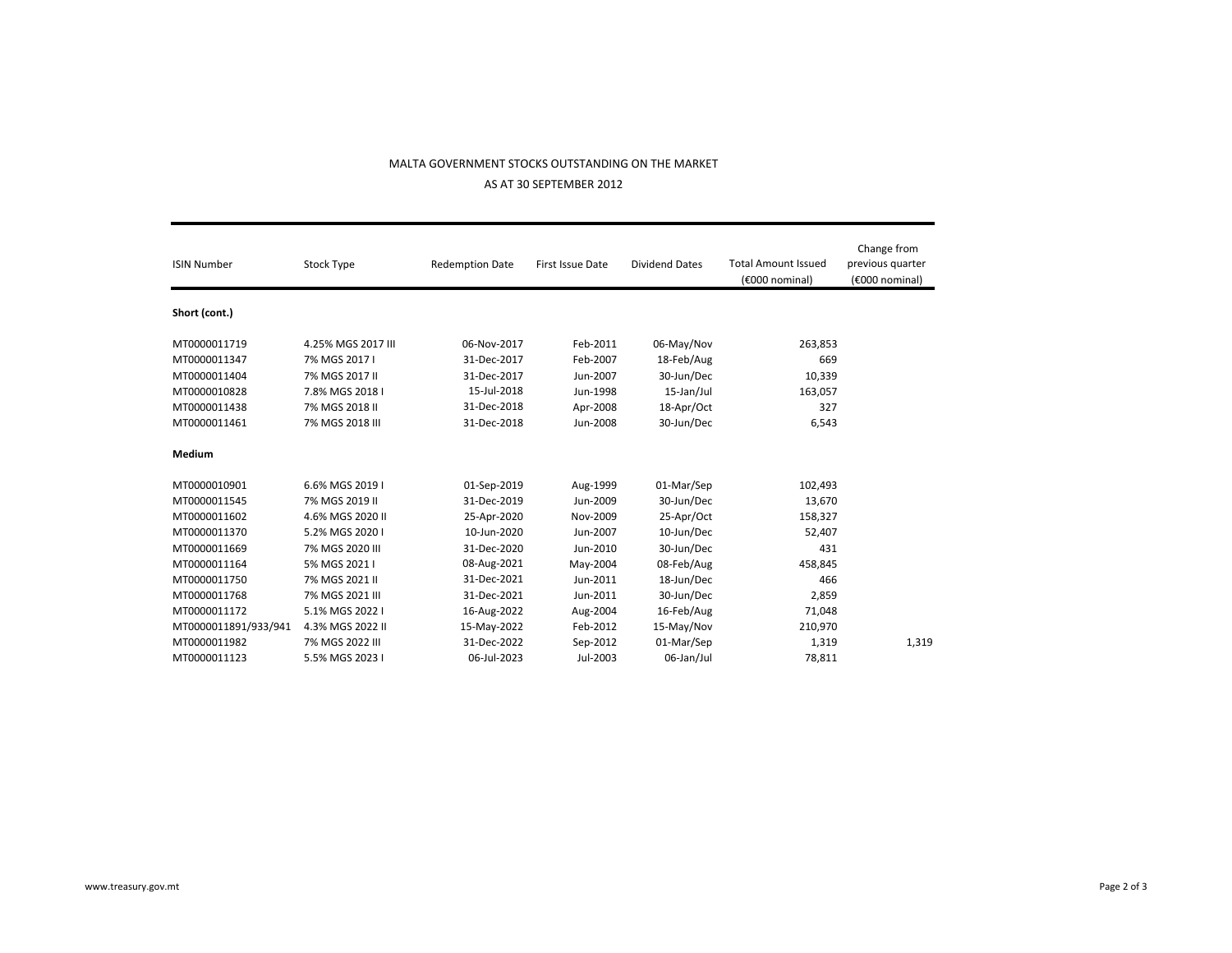## MALTA GOVERNMENT STOCKS OUTSTANDING ON THE MARKET

AS AT 30 SEPTEMBER 2012

| <b>ISIN Number</b>   | Stock Type         | <b>Redemption Date</b> | First Issue Date | <b>Dividend Dates</b> | <b>Total Amount Issued</b><br>(€000 nominal) | Change from<br>previous quarter<br>(€000 nominal) |
|----------------------|--------------------|------------------------|------------------|-----------------------|----------------------------------------------|---------------------------------------------------|
| Short (cont.)        |                    |                        |                  |                       |                                              |                                                   |
| MT0000011719         | 4.25% MGS 2017 III | 06-Nov-2017            | Feb-2011         | 06-May/Nov            | 263,853                                      |                                                   |
| MT0000011347         | 7% MGS 2017 I      | 31-Dec-2017            | Feb-2007         | 18-Feb/Aug            | 669                                          |                                                   |
| MT0000011404         | 7% MGS 2017 II     | 31-Dec-2017            | Jun-2007         | 30-Jun/Dec            | 10,339                                       |                                                   |
| MT0000010828         | 7.8% MGS 2018 I    | 15-Jul-2018            | Jun-1998         | 15-Jan/Jul            | 163,057                                      |                                                   |
| MT0000011438         | 7% MGS 2018 II     | 31-Dec-2018            | Apr-2008         | 18-Apr/Oct            | 327                                          |                                                   |
| MT0000011461         | 7% MGS 2018 III    | 31-Dec-2018            | Jun-2008         | 30-Jun/Dec            | 6,543                                        |                                                   |
| Medium               |                    |                        |                  |                       |                                              |                                                   |
| MT0000010901         | 6.6% MGS 2019 I    | 01-Sep-2019            | Aug-1999         | 01-Mar/Sep            | 102,493                                      |                                                   |
| MT0000011545         | 7% MGS 2019 II     | 31-Dec-2019            | Jun-2009         | 30-Jun/Dec            | 13,670                                       |                                                   |
| MT0000011602         | 4.6% MGS 2020 II   | 25-Apr-2020            | Nov-2009         | 25-Apr/Oct            | 158,327                                      |                                                   |
| MT0000011370         | 5.2% MGS 2020 I    | 10-Jun-2020            | Jun-2007         | 10-Jun/Dec            | 52,407                                       |                                                   |
| MT0000011669         | 7% MGS 2020 III    | 31-Dec-2020            | Jun-2010         | 30-Jun/Dec            | 431                                          |                                                   |
| MT0000011164         | 5% MGS 2021 I      | 08-Aug-2021            | May-2004         | 08-Feb/Aug            | 458,845                                      |                                                   |
| MT0000011750         | 7% MGS 2021 II     | 31-Dec-2021            | Jun-2011         | 18-Jun/Dec            | 466                                          |                                                   |
| MT0000011768         | 7% MGS 2021 III    | 31-Dec-2021            | Jun-2011         | 30-Jun/Dec            | 2,859                                        |                                                   |
| MT0000011172         | 5.1% MGS 2022 I    | 16-Aug-2022            | Aug-2004         | 16-Feb/Aug            | 71,048                                       |                                                   |
| MT0000011891/933/941 | 4.3% MGS 2022 II   | 15-May-2022            | Feb-2012         | 15-May/Nov            | 210,970                                      |                                                   |
| MT0000011982         | 7% MGS 2022 III    | 31-Dec-2022            | Sep-2012         | 01-Mar/Sep            | 1,319                                        | 1,319                                             |
| MT0000011123         | 5.5% MGS 2023 I    | 06-Jul-2023            | Jul-2003         | 06-Jan/Jul            | 78,811                                       |                                                   |